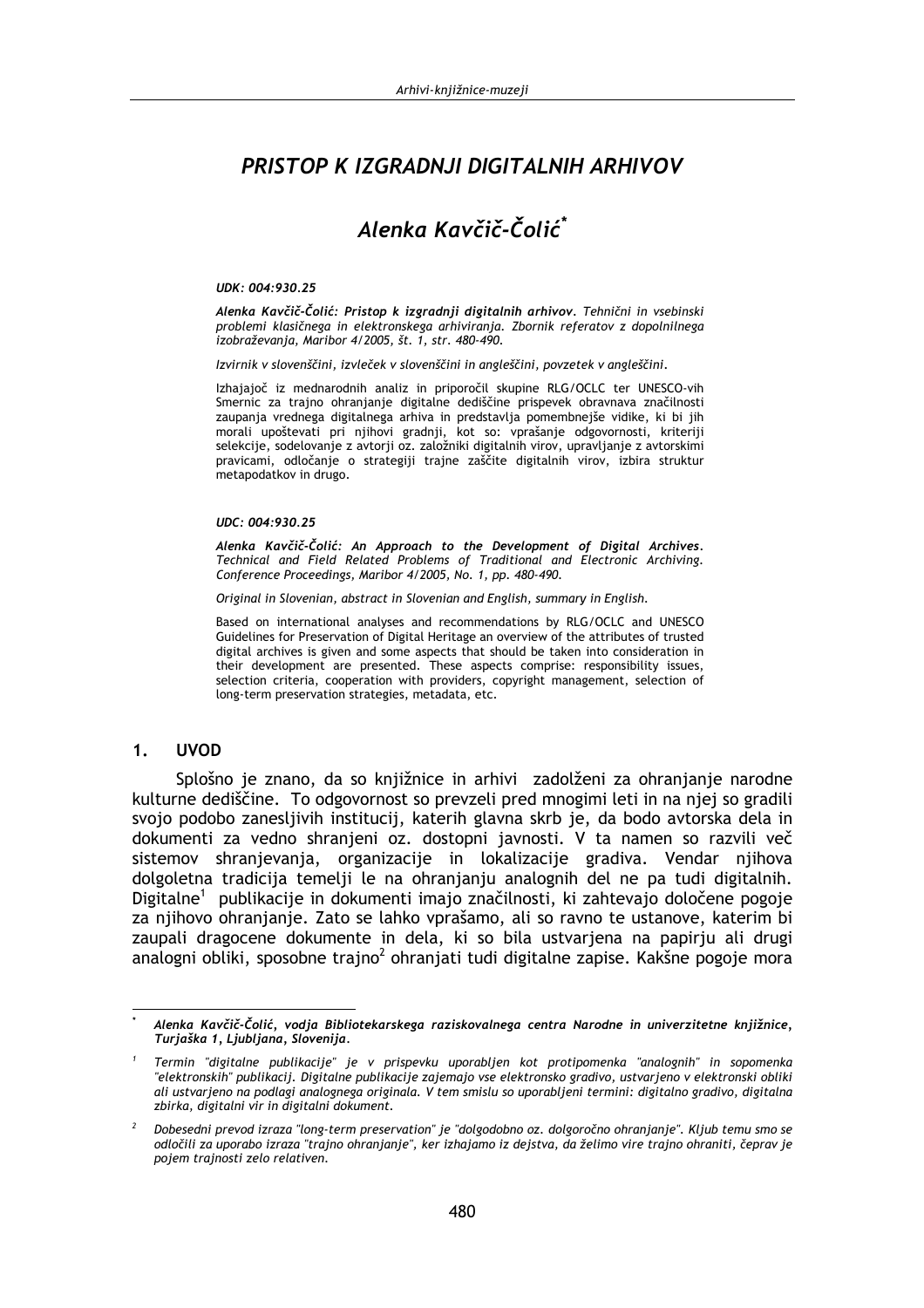# PRISTOP K IZGRADNJI DIGITALNIH ARHIVOV

# Alenka Kavčič-Čolić\*

### UDK: 004:930.25

Alenka Kavčič-Čolić: Pristop k izgradnji digitalnih arhivov. Tehnični in vsebinski problemi klasičnega in elektronskega arhiviranja. Zbornik referatov z dopolnilnega izobraževania, Maribor 4/2005, št. 1, str. 480-490.

Izvirnik v slovenščini, izvleček v slovenščini in angleščini, povzetek v angleščini.

Izhajajoč iz mednarodnih analiz in priporočil skupine RLG/OCLC ter UNESCO-vih Smernic za trajno ohranjanje digitalne dediščine prispevek obravnava značilnosti zaupanja vrednega digitalnega arhiva in predstavlja pomembnejše vidike, ki bi jih morali upoštevati pri njihovi gradnji, kot so: vprašanje odgovornosti, kriteriji selekcije, sodelovanje z avtorji oz. založniki digitalnih virov, upravljanje z avtorskimi pravicami, odločanje o strategiji trajne zaščite digitalnih virov, izbira struktur metapodatkov in drugo.

#### UDC: 004:930.25

Alenka Kavčič-Čolić: An Approach to the Development of Digital Archives.<br>Technical and Field Related Problems of Traditional and Electronic Archiving. Conference Proceedings, Maribor 4/2005, No. 1, pp. 480-490.

Original in Slovenian, abstract in Slovenian and English, summary in English.

Based on international analyses and recommendations by RLG/OCLC and UNESCO Guidelines for Preservation of Digital Heritage an overview of the attributes of trusted digital archives is given and some aspects that should be taken into consideration in their development are presented. These aspects comprise: responsibility issues, selection criteria, cooperation with providers, copyright management, selection of long-term preservation strategies, metadata, etc.

#### $1<sub>1</sub>$ **UVOD**

Splošno je znano, da so knjižnice in arhivi zadolženi za ohranjanje narodne kulturne dediščine. To odgovornost so prevzeli pred mnogimi leti in na njej so gradili svojo podobo zanesljivih institucij, katerih glavna skrb je, da bodo avtorska dela in dokumenti za vedno shranjeni oz. dostopni javnosti. V ta namen so razvili več sistemov shranjevanja, organizacije in lokalizacije gradiva. Vendar njihova dolgoletna tradicija temelij le na ohranjanju analognih del ne pa tudi digitalnih. Digitalne<sup>1</sup> publikacije in dokumenti imajo značilnosti, ki zahtevajo določene pogoje za njihovo ohranjanje. Zato se lahko vprašamo, ali so ravno te ustanove, katerim bi zaupali dragocene dokumente in dela, ki so bila ustvarjena na papirju ali drugi analogni obliki, sposobne trajno<sup>2</sup> ohranjati tudi digitalne zapise. Kakšne pogoje mora

Alenka Kavčič-Čolić, vodja Bibliotekarskega raziskovalnega centra Narodne in univerzitetne knjižnice, Turjaška 1, Ljubljana, Slovenija.

Termin "digitalne publikacije" je v prispevku uporabljen kot protipomenka "analognih" in sopomenka "elektronskih" publikacij. Digitalne publikacije zajemajo vse elektronsko gradivo, ustvarjeno v elektronski obliki ali ustvarjeno na podlagi analognega originala. V tem smislu so uporabljeni termini: digitalno gradivo, digitalna zbirka, digitalni vir in digitalni dokument.

Dobesedni prevod izraza "long-term preservation" je "dolgodobno oz. dolgoročno ohranjanje". Kljub temu smo se odločili za uporabo izraza "trajno ohranjanje", ker izhajamo iz dejstva, da želimo vire trajno ohraniti, čeprav je pojem trajnosti zelo relativen.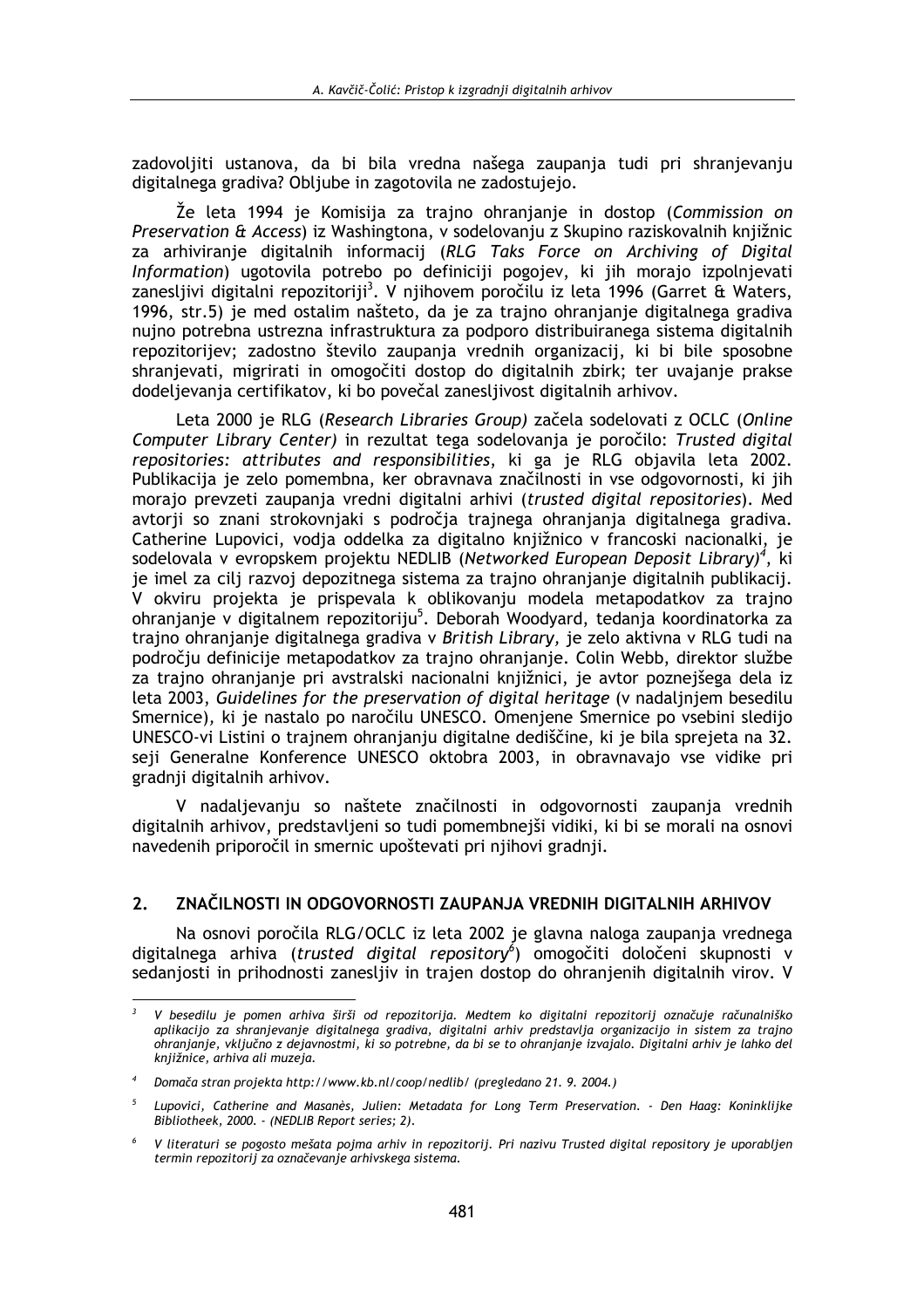zadovoliiti ustanova, da bi bila vredna našega zaupania tudi pri shranjevanju digitalnega gradiva? Obliube in zagotovila ne zadostujejo.

Že leta 1994 je Komisija za trajno ohranjanje in dostop (Commission on Preservation & Access) iz Washingtona, v sodelovaniu z Skupino raziskovalnih kniižnic za arhiviranje digitalnih informacij (RLG Taks Force on Archiving of Digital Information) ugotovila potrebo po definiciji pogojev, ki jih morajo izpolnjevati zanesljivi digitalni repozitoriji<sup>3</sup>. V njihovem poročilu iz leta 1996 (Garret & Waters, 1996, str.5) je med ostalim našteto, da je za trajno ohranjanje digitalnega gradiva nujno potrebna ustrezna infrastruktura za podporo distribuiranega sistema digitalnih repozitorijev; zadostno število zaupanja vrednih organizacij, ki bi bile sposobne shranjevati, migrirati in omogočiti dostop do digitalnih zbirk; ter uvajanje prakse dodeljevanja certifikatov, ki bo povečal zanesljivost digitalnih arhivov.

Leta 2000 je RLG (Research Libraries Group) začela sodelovati z OCLC (Online Computer Library Center) in rezultat tega sodelovanja je poročilo: Trusted digital repositories: attributes and responsibilities, ki ga je RLG objavila leta 2002. Publikacija je zelo pomembna, ker obravnava značilnosti in vse odgovornosti, ki jih morajo prevzeti zaupanja vredni digitalni arhivi (trusted digital repositories). Med avtorii so znani strokovnjaki s področja trajnega ohranjanja digitalnega gradiva. Catherine Lupovici, vodia oddelka za digitalno knjižnico v francoski nacionalki, je sodelovala v evropskem projektu NEDLIB (Networked European Deposit Library)<sup>4</sup>, ki je imel za cilj razvoj depozitnega sistema za trajno ohranjanje digitalnih publikacij. V okviru projekta je prispevala k oblikovanju modela metapodatkov za trajno ohranjanje v digitalnem repozitoriju<sup>5</sup>. Deborah Woodyard, tedanja koordinatorka za trajno ohranjanje digitalnega gradiva v British Library, je zelo aktivna v RLG tudi na področiu definicije metapodatkov za trajno ohranjanje. Colin Webb, direktor službe za trajno ohranjanje pri avstralski nacionalni knjižnici, je avtor poznejšega dela iz leta 2003, Guidelines for the preservation of digital heritage (y nadaljnjem besedilu Smernice), ki je nastalo po naročilu UNESCO. Omenjene Smernice po vsebini sledijo UNESCO-vi Listini o trajnem ohranjanju digitalne dediščine, ki je bila sprejeta na 32. seji Generalne Konference UNESCO oktobra 2003, in obravnavajo vse vidike pri gradnii digitalnih arhivov.

V nadalievanju so naštete značilnosti in odgovornosti zaupanja vrednih digitalnih arhivov, predstavljeni so tudi pomembnejši vidiki, ki bi se morali na osnovi navedenih priporočil in smernic upoštevati pri njihovi gradnji.

#### $2.$ ZNAČILNOSTI IN ODGOVORNOSTI ZAUPANJA VREDNIH DIGITALNIH ARHIVOV

Na osnovi poročila RLG/OCLC iz leta 2002 je glavna naloga zaupanja vrednega digitalnega arhiva (trusted digital repository<sup>6</sup>) omogočiti določeni skupnosti v sedanjosti in prihodnosti zanesljiv in trajen dostop do ohranjenih digitalnih virov. V

V besedilu je pomen arhiva širši od repozitorija. Medtem ko digitalni repozitorij označuje računalniško aplikacijo za shranjevanje digitalnega gradiva, digitalni arhiv predstavlja organizacijo in sistem za trajno ohranjanje, vključno z dejavnostmi, ki so potrebne, da bi se to ohranjanje izvajalo. Digitalni arhiv je lahko del knjižnice, arhiva ali muzeja.

Domača stran projekta http://www.kb.nl/coop/nedlib/ (pregledano 21, 9, 2004.)

 $\overline{5}$ Lupovici, Catherine and Masanès, Julien: Metadata for Long Term Preservation. - Den Haag: Koninklijke Bibliotheek, 2000. (NEDLIB Report series; 2).

 $6\overline{6}$ V literaturi se pogosto mešata pojma arhiv in repozitorij. Pri nazivu Trusted digital repository je uporabljen termin repozitorij za označevanje arhivskega sistema.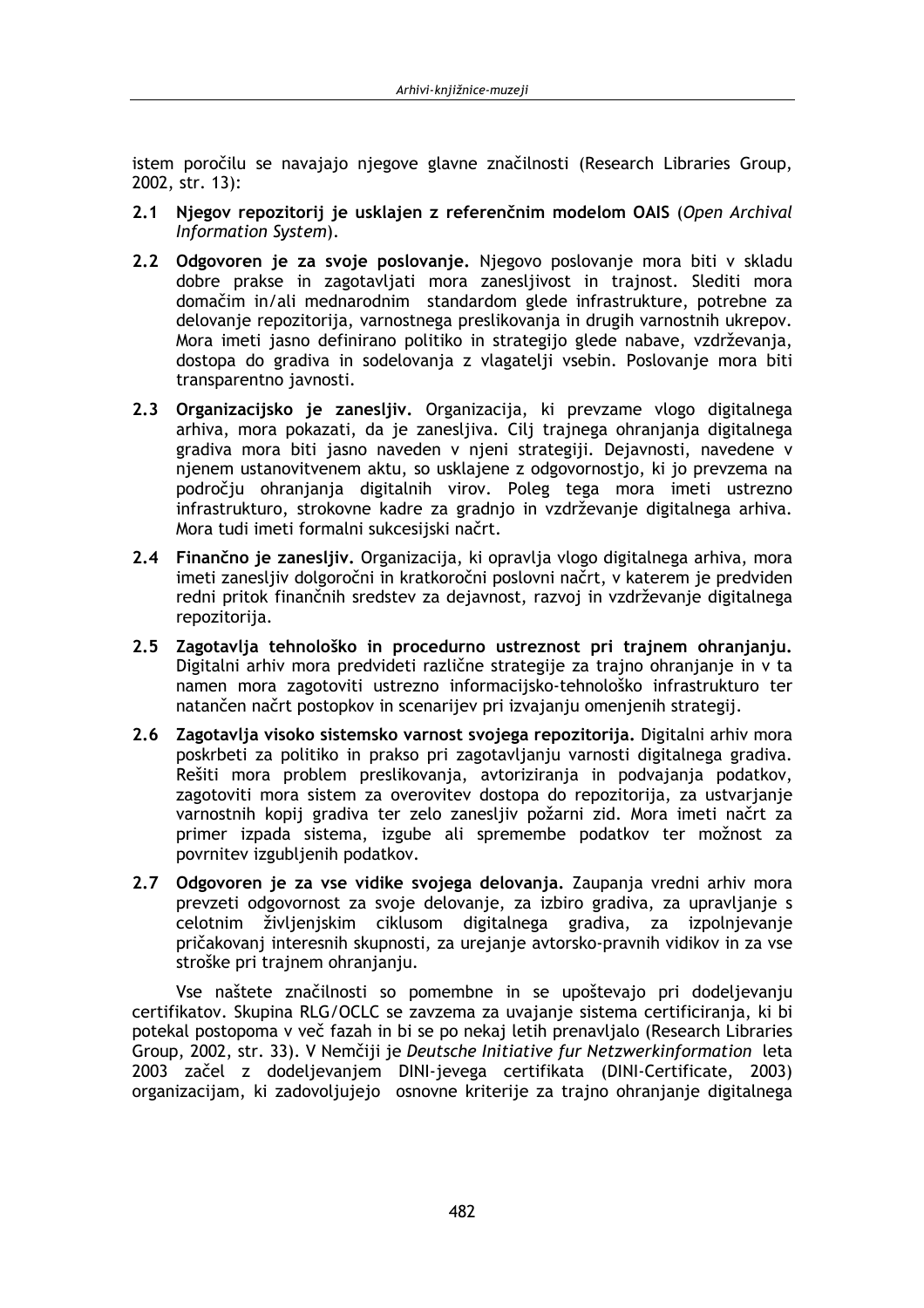istem poročilu se navajajo njegove glavne značilnosti (Research Libraries Group,  $2002. str. 13$ :

- 2.1 Njegov repozitorij je usklajen z referenčnim modelom OAIS (Open Archival Information System).
- 2.2 Odgovoren je za svoje poslovanje. Njegovo poslovanje mora biti v skladu dobre prakse in zagotavljati mora zanesljivost in trajnost. Slediti mora domačim in/ali mednarodnim standardom glede infrastrukture, potrebne za delovanje repozitorija, varnostnega preslikovanja in drugih varnostnih ukrepov. Mora imeti jasno definirano politiko in strategijo glede nabave, vzdrževanja, dostopa do gradiva in sodelovanja z vlagatelji vsebin. Poslovanje mora biti transparentno javnosti.
- 2.3 Organizacijsko je zanesljiv. Organizacija, ki prevzame vlogo digitalnega arhiva, mora pokazati, da je zanesljiva. Cilj trajnega ohranjanja digitalnega gradiva mora biti jasno naveden v njeni strategiji. Dejavnosti, navedene v njenem ustanovitvenem aktu, so usklajene z odgovornostjo, ki jo prevzema na področju ohranjanja digitalnih virov. Poleg tega mora imeti ustrezno infrastrukturo, strokovne kadre za gradnjo in vzdrževanje digitalnega arhiva. Mora tudi imeti formalni sukcesijski načrt.
- 2.4 Finančno je zanesljiv. Organizacija, ki opravlja vlogo digitalnega arhiva, mora imeti zanesljiv dolgoročni in kratkoročni poslovni načrt, v katerem je predviden redni pritok finančnih sredstev za dejavnost, razvoj in vzdrževanje digitalnega repozitorija.
- 2.5 Zagotavlja tehnološko in procedurno ustreznost pri trajnem ohranjanju. Digitalni arhiv mora predvideti različne strategije za trajno ohranjanje in v ta namen mora zagotoviti ustrezno informacijsko-tehnološko infrastrukturo ter natančen načrt postopkov in scenarijev pri izvajanju omenjenih strategij.
- 2.6 Zagotavlja visoko sistemsko varnost svojega repozitorija. Digitalni arhiv mora poskrbeti za politiko in prakso pri zagotavljanju varnosti digitalnega gradiva. Rešiti mora problem preslikovania, avtorizirania in podvajania podatkov, zagotoviti mora sistem za overovitev dostopa do repozitorija, za ustvarianje varnostnih kopij gradiva ter zelo zanesljiv požarni zid. Mora imeti načrt za primer izpada sistema, izgube ali spremembe podatkov ter možnost za povrnitev izgublienih podatkov.
- 2.7 Odgovoren je za vse vidike svojega delovanja. Zaupanja vredni arhiv mora prevzeti odgovornost za svoje delovanje, za izbiro gradiva, za upravljanje s celotnim življenjskim ciklusom digitalnega gradiva, za izpolnjevanje pričakovanj interesnih skupnosti, za urejanje avtorsko-pravnih vidikov in za vse stroške pri trajnem ohranjanju.

Vse naštete značilnosti so pomembne in se upoštevajo pri dodeljevanju certifikatov. Skupina RLG/OCLC se zavzema za uvajanje sistema certificiranja, ki bi potekal postopoma v več fazah in bi se po nekaj letih prenavljalo (Research Libraries Group, 2002, str. 33). V Nemčiji je Deutsche Initiative fur Netzwerkinformation leta 2003 začel z dodeljevanjem DINI-jevega certifikata (DINI-Certificate, 2003) organizacijam, ki zadovoljujejo osnovne kriterije za trajno ohranjanje digitalnega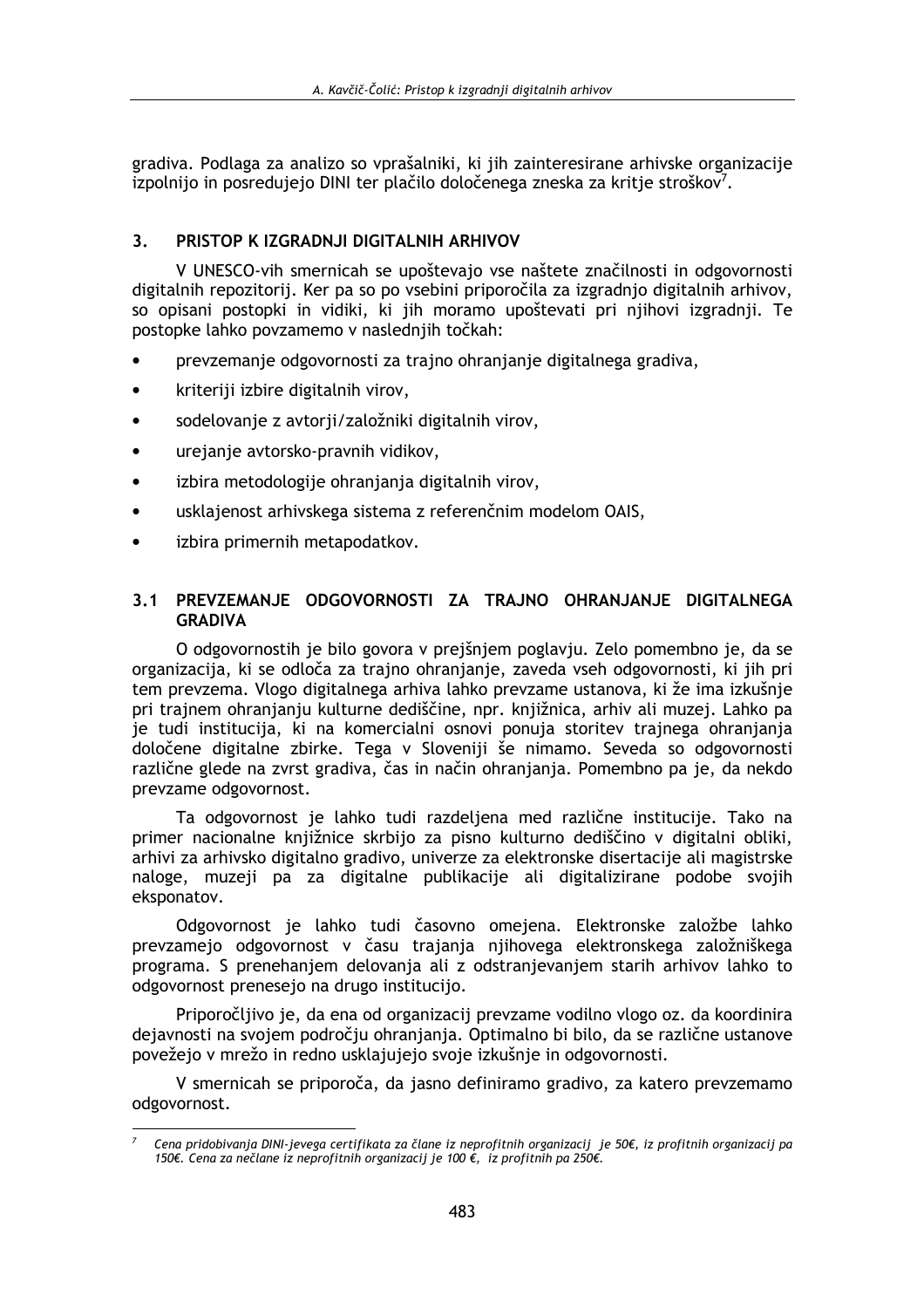gradiva. Podlaga za analizo so vprašalniki, ki jih zainteresirane arhivske organizacije izpolnijo in posredujejo DINI ter plačilo določenega zneska za kritie stroškov<sup>7</sup>.

#### $\overline{\mathbf{3}}$ PRISTOP K IZGRADNJI DIGITALNIH ARHIVOV

V UNESCO-vih smernicah se upoštevajo vse naštete značilnosti in odgovornosti digitalnih repozitorij. Ker pa so po vsebini priporočila za izgradnjo digitalnih arhivov, so opisani postopki in vidiki, ki jih moramo upoštevati pri njihovi izgradnji. Te postopke lahko povzamemo v naslednjih točkah:

- prevzemanje odgovornosti za trajno ohranjanje digitalnega gradiva,  $\bullet$
- kriteriji izbire digitalnih virov,  $\bullet$
- sodelovanje z avtorji/založniki digitalnih virov,  $\bullet$
- urejanje avtorsko-pravnih vidikov,  $\bullet$
- $\bullet$ izbira metodologije ohranjanja digitalnih virov,
- usklajenost arhivskega sistema z referenčnim modelom OAIS,
- izbira primernih metapodatkov.

### 3.1 PREVZEMANJE ODGOVORNOSTI ZA TRAJNO OHRANJANJE DIGITALNEGA **GRADIVA**

O odgovornostih je bilo govora v prejšnjem poglavju. Zelo pomembno je, da se organizacija, ki se odloča za trajno ohranjanje, zaveda vseh odgovornosti, ki jih pri tem prevzema. Vlogo digitalnega arhiva lahko prevzame ustanova, ki že ima izkušnje pri trajnem ohranjanju kulturne dediščine, npr. knjižnica, arhiv ali muzej. Lahko pa je tudi institucija, ki na komercialni osnovi ponuja storitev trajnega ohranjanja določene digitalne zbirke. Tega v Sloveniji še nimamo. Seveda so odgovornosti različne glede na zvrst gradiva, čas in način ohranjanja. Pomembno pa je, da nekdo prevzame odgovornost.

Ta odgovornost je lahko tudi razdeljena med različne institucije. Tako na primer nacionalne knjižnice skrbijo za pisno kulturno dediščino v digitalni obliki, arhivi za arhivsko digitalno gradivo, univerze za elektronske disertacije ali magistrske naloge, muzeji pa za digitalne publikacije ali digitalizirane podobe svojih eksponatov.

Odgovornost je lahko tudi časovno omejena. Elektronske založbe lahko prevzamejo odgovornost v času trajanja nijhovega elektronskega založniškega programa. S prenehaniem delovania ali z odstranievaniem starih arhivov lahko to odgovornost prenesejo na drugo institucijo.

Priporočlijvo je, da ena od organizacij prevzame vodilno vlogo oz. da koordinira dejavnosti na svojem področju ohranjanja. Optimalno bi bilo, da se različne ustanove povežejo v mrežo in redno usklajujejo svoje izkušnje in odgovornosti.

V smernicah se priporoča, da jasno definiramo gradivo, za katero prevzemamo odgovornost.

Cena pridobivanja DINI-jevega certifikata za člane iz neprofitnih organizacij je 50€, iz profitnih organizacij pa 150€. Cena za nečlane iz neprofitnih organizacij je 100 €, iz profitnih pa 250€.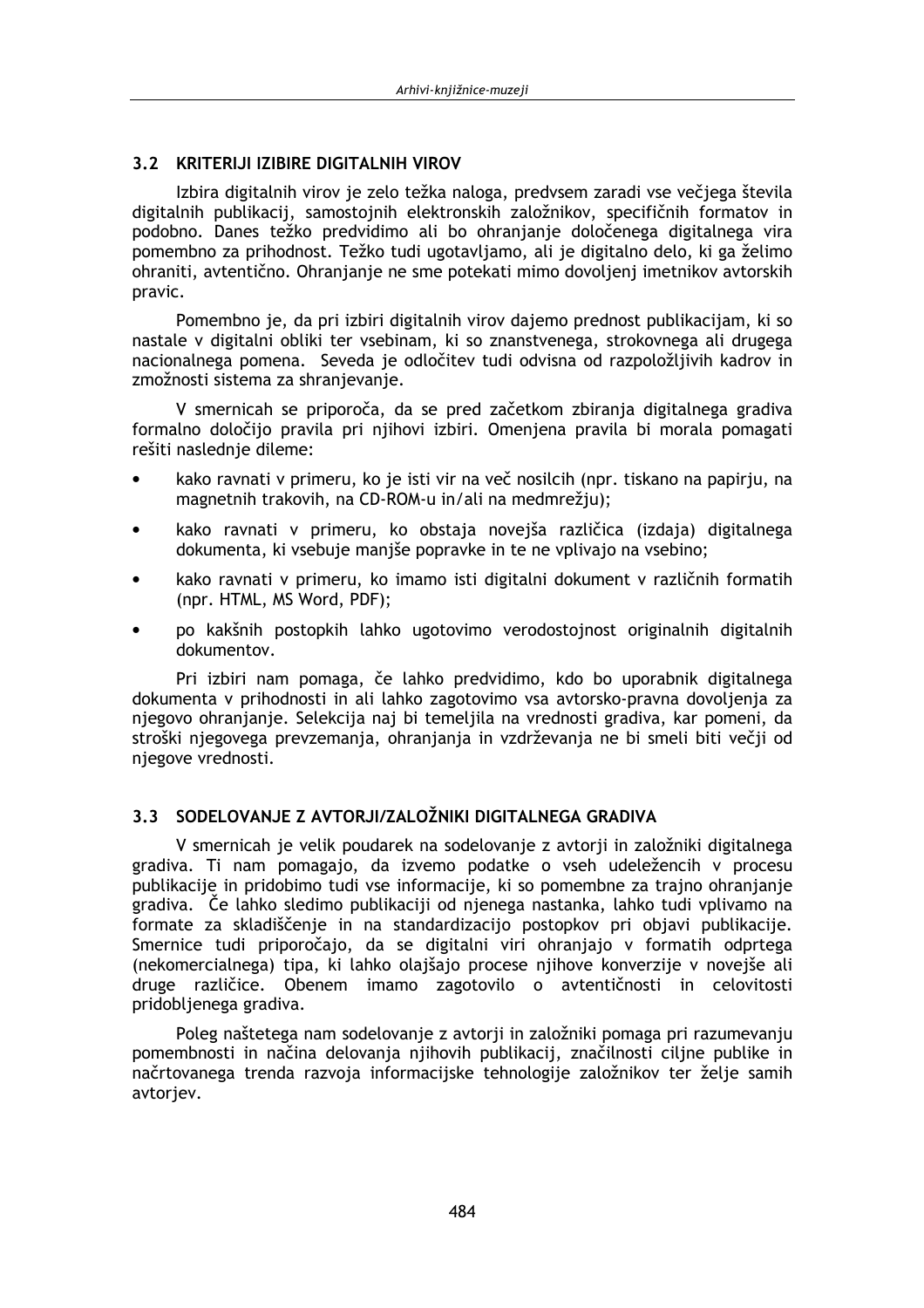### 3.2 KRITERIJI IZIBIRE DIGITALNIH VIROV

Izbira digitalnih virov je zelo težka naloga, predvsem zaradi vse večjega števila digitalnih publikacij, samostojnih elektronskih založnikov, specifičnih formatov in podobno. Danes težko predvidimo ali bo ohranianie določenega digitalnega vira pomembno za prihodnost. Težko tudi ugotavljamo, ali je digitalno delo, ki ga želimo ohraniti, avtentično. Ohranjanje ne sme potekati mimo dovoljenj imetnikov avtorskih pravic.

Pomembno je, da pri izbiri digitalnih virov dajemo prednost publikacijam, ki so nastale v digitalni obliki ter vsebinam, ki so znanstvenega, strokovnega ali drugega nacionalnega pomena. Seveda je odločitev tudi odvisna od razpoložljivih kadrov in zmožnosti sistema za shranjevanje.

V smernicah se priporoča, da se pred začetkom zbiranja digitalnega gradiva formalno določijo pravila pri njihovi izbiri. Omenjena pravila bi morala pomagati rešiti naslednje dileme:

- kako ravnati v primeru, ko je isti vir na več nosilcih (npr. tiskano na papirju, na magnetnih trakovih, na CD-ROM-u in/ali na medmrežju);
- kako ravnati v primeru, ko obstaja novejša različica (izdaja) digitalnega dokumenta, ki vsebuje manjše popravke in te ne vplivajo na vsebino;
- kako ravnati v primeru, ko imamo isti digitalni dokument v različnih formatih (npr. HTML, MS Word, PDF);
- po kakšnih postopkih lahko ugotovimo verodostojnost originalnih digitalnih dokumentov.

Pri izbiri nam pomaga, če lahko predvidimo, kdo bo uporabnik digitalnega dokumenta y prihodnosti in ali lahko zagotovimo ysa avtorsko-pravna dovoljenja za njegovo ohranjanje. Selekcija naj bi temeljila na vrednosti gradiva, kar pomeni, da stroški njegovega prevzemanja, ohranjanja in vzdrževanja ne bi smeli biti večji od njegove vrednosti.

## 3.3 SODELOVANJE Z AVTORJI/ZALOŽNIKI DIGITALNEGA GRADIVA

V smernicah je velik poudarek na sodelovanje z avtorij in založniki digitalnega gradiva. Ti nam pomagajo, da izvemo podatke o vseh udeležencih v procesu publikacije in pridobimo tudi vse informacije, ki so pomembne za trajno ohranjanje gradiva. Če lahko sledimo publikaciji od njenega nastanka, lahko tudi vplivamo na formate za skladiščenje in na standardizacijo postopkov pri objavi publikacije. Smernice tudi priporočajo, da se digitalni viri ohranjajo v formatih odprtega (nekomercialnega) tipa, ki lahko olajšajo procese njihove konverzije v novejše ali druge različice. Obenem imamo zagotovilo o avtentičnosti in celovitosti pridobljenega gradiva.

Poleg naštetega nam sodelovanje z avtorji in založniki pomaga pri razumevanju pomembnosti in načina delovanja njihovih publikacij, značilnosti ciljne publike in načrtovanega trenda razvoja informacijske tehnologije založnikov ter želje samih avtorjev.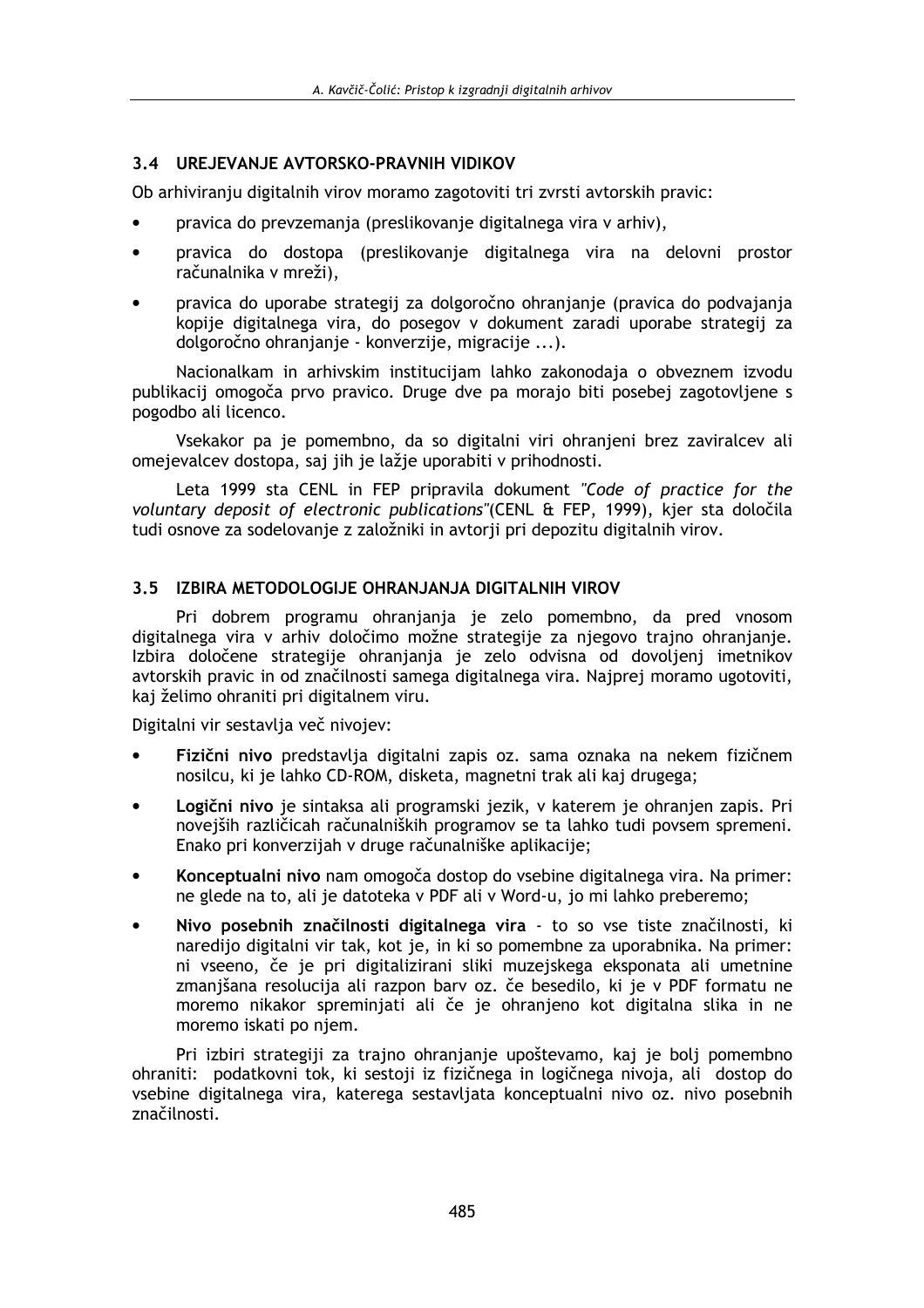## 3.4 UREJEVANJE AVTORSKO-PRAVNIH VIDIKOV

Ob arhiviranju digitalnih virov moramo zagotoviti tri zvrsti avtorskih pravic:

- pravica do prevzemanja (preslikovanje digitalnega vira v arhiv),
- pravica do dostopa (preslikovanie digitalnega vira na delovni prostor računalnika v mreži).
- pravica do uporabe strategii za dolgoročno ohranjanje (pravica do podvajanja kopije digitalnega vira, do posegov v dokument zaradi uporabe strategij za dolgoročno ohranjanje - konverzije, migracije ...).

Nacionalkam in arhivskim institucijam lahko zakonodaja o obveznem izvodu publikacij omogoča prvo pravico. Druge dve pa morajo biti posebej zagotovljene s pogodbo ali licenco.

Vsekakor pa je pomembno, da so digitalni viri ohranjeni brez zaviralcev ali omejevalcev dostopa, saj jih je lažje uporabiti v prihodnosti.

Leta 1999 sta CENL in FEP pripravila dokument "Code of practice for the voluntary deposit of electronic publications"(CENL & FEP, 1999), kjer sta določila tudi osnove za sodelovanje z založniki in avtorji pri depozitu digitalnih virov.

### 3.5 IZBIRA METODOLOGIJE OHRANJANJA DIGITALNIH VIROV

Pri dobrem programu ohranjanja je zelo pomembno, da pred vnosom digitalnega vira v arhiv določimo možne strategije za njegovo trajno ohranjanje. Izbira določene strategije ohranjanja je zelo odvisna od dovoljenj imetnikov avtorskih pravic in od značilnosti samega digitalnega vira. Najprej moramo ugotoviti, kaj želimo ohraniti pri digitalnem viru.

Digitalni vir sestavlja več nivojev:

- Fizični nivo predstavlja digitalni zapis oz. sama oznaka na nekem fizičnem nosilcu, ki je lahko CD-ROM, disketa, magnetni trak ali kaj drugega;
- Logični nivo je sintaksa ali programski jezik, v katerem je ohranjen zapis. Pri novejših različicah računalniških programov se ta lahko tudi povsem spremeni. Enako pri konverzijah v druge računalniške aplikacije;
- Konceptualni nivo nam omogoča dostop do vsebine digitalnega vira. Na primer:  $\bullet$ ne glede na to, ali je datoteka v PDF ali v Word-u, jo mi lahko preberemo;
- Nivo posebnih značilnosti digitalnega vira to so vse tiste značilnosti, ki naredijo digitalni vir tak, kot je, in ki so pomembne za uporabnika. Na primer: ni vseeno, če je pri digitalizirani sliki muzejskega eksponata ali umetnine zmanišana resolucija ali razpon barv oz. če besedilo, ki je v PDF formatu ne moremo nikakor spreminjati ali če je ohranjeno kot digitalna slika in ne moremo iskati po niem.

Pri izbiri strategiji za trajno ohranjanje upoštevamo, kaj je bolj pomembno ohraniti: podatkovni tok, ki sestoji iz fizičnega in logičnega nivoja, ali dostop do vsebine digitalnega vira, katerega sestavljata konceptualni nivo oz. nivo posebnih značilnosti.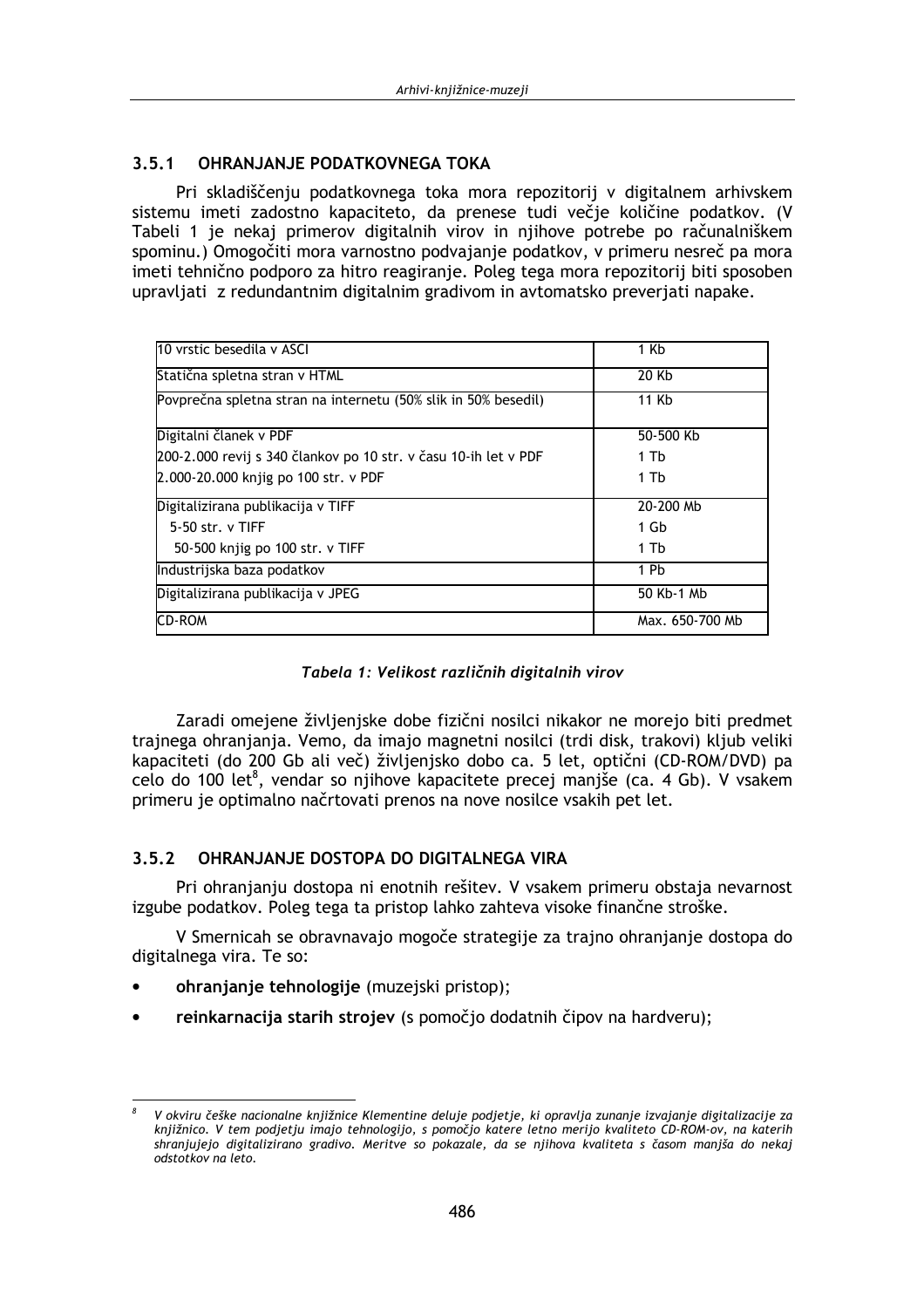#### **OHRANJANJE PODATKOVNEGA TOKA**  $3.5.1$

Pri skladiščenju podatkovnega toka mora repozitorij v digitalnem arhivskem sistemu imeti zadostno kapaciteto, da prenese tudi večje količine podatkov. (V Tabeli 1 je nekaj primerov digitalnih virov in nijhove potrebe po računalniškem spominu.) Omogočiti mora varnostno podvajanje podatkov, v primeru nesreč pa mora imeti tehnično podporo za hitro reagiranje. Poleg tega mora repozitorij biti sposoben upravljati z redundantnim digitalnim gradivom in avtomatsko preverjati napake.

| 10 vrstic besedila v ASCI                                       | 1 Kb            |
|-----------------------------------------------------------------|-----------------|
| Statična spletna stran v HTML                                   | 20 Kb           |
| Povprečna spletna stran na internetu (50% slik in 50% besedil)  | 11 Kb           |
| Digitalni članek v PDF                                          | 50-500 Kb       |
| 200-2.000 revij s 340 člankov po 10 str. v času 10-ih let v PDF | 1 Tb            |
| 2.000-20.000 knjig po 100 str. v PDF                            | 1 Tb            |
| Digitalizirana publikacija v TIFF                               | 20-200 Mb       |
| $5-50$ str. v TIFF                                              | 1 Gb            |
| 50-500 knjig po 100 str. v TIFF                                 | 1 Tb            |
| Industrijska baza podatkov                                      | 1 Pb            |
| Digitalizirana publikacija v JPEG                               | 50 Kb-1 Mb      |
| CD-ROM                                                          | Max. 650-700 Mb |

Zaradi omejene življenjske dobe fizični nosilci nikakor ne morejo biti predmet trajnega ohranjanja. Vemo, da imajo magnetni nosilci (trdi disk, trakovi) kljub veliki kapaciteti (do 200 Gb ali več) življenjsko dobo ca. 5 let, optični (CD-ROM/DVD) pa celo do 100 let<sup>8</sup>, vendar so nijhove kapacitete precej maniše (ca. 4 Gb). V vsakem primeru je optimalno načrtovati prenos na nove nosilce vsakih pet let.

#### OHRANJANJE DOSTOPA DO DIGITALNEGA VIRA  $3.5.2$

Pri ohranjanju dostopa ni enotnih rešitev. V vsakem primeru obstaja nevarnost izgube podatkov. Poleg tega ta pristop lahko zahteva visoke finančne stroške.

V Smernicah se obravnavajo mogoče strategije za trajno ohranjanje dostopa do digitalnega vira. Te so:

- ohranjanje tehnologije (muzejski pristop);
- reinkarnacija starih strojev (s pomočjo dodatnih čipov na hardveru);

V okviru češke nacionalne kniižnice Klementine deluie podietie, ki opravlja zunanje izvajanje digitalizacije za knjižnico. V tem podjetju imajo tehnologijo, s pomočjo katere letno merijo kvaliteto CD-ROM-ov, na katerih shranjujejo digitalizirano gradivo. Meritve so pokazale, da se njihova kvaliteta s časom manjša do nekaj odstotkov na leto.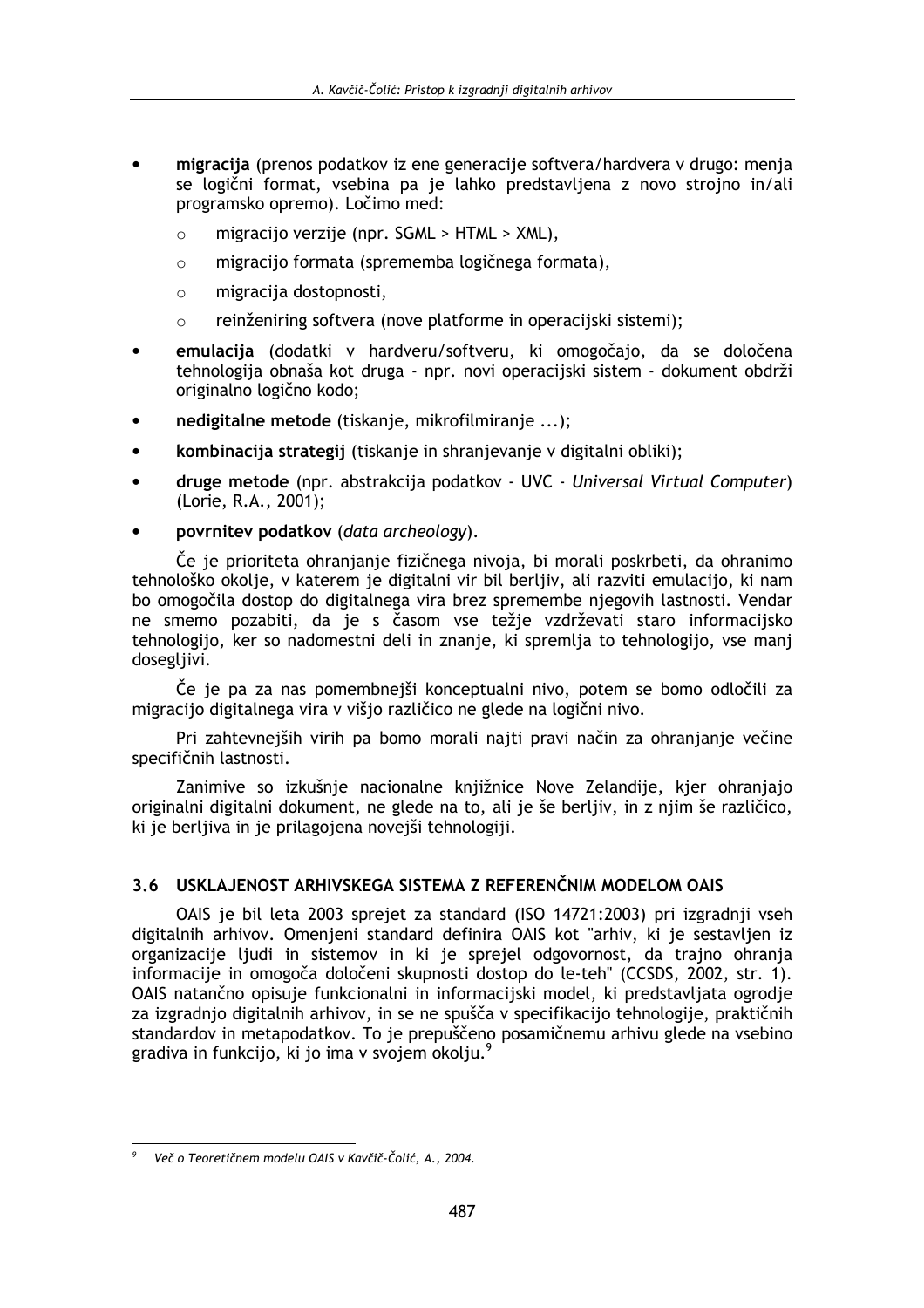- migracija (prenos podatkov iz ene generacije softvera/hardvera v drugo: menja se logični format, vsebina pa je lahko predstavljena z novo strojno in/ali programsko opremo). Ločimo med:
	- $\bigcap$ migraciio verziie (npr. SGML > HTML > XML),
	- migracijo formata (sprememba logičnega formata),  $\Omega$
	- migracija dostopnosti.  $\bigcap$
	- reinženiring softvera (nove platforme in operacijski sistemi);  $\circ$
- emulacija (dodatki v hardveru/softveru, ki omogočajo, da se določena tehnologija obnaša kot druga - npr. novi operacijski sistem - dokument obdrži originalno logično kodo;
- nedigitalne metode (tiskanje, mikrofilmiranje ...);
- kombinacija strategij (tiskanje in shranjevanje v digitalni obliki);  $\bullet$
- druge metode (npr. abstrakcija podatkov UVC Universal Virtual Computer) (Lorie, R.A., 2001);
- povrnitev podatkov (data archeology).

Če je prioriteta ohranjanje fizičnega nivoja, bi morali poskrbeti, da ohranimo tehnološko okolje, v katerem je digitalni vir bil berljiv, ali razviti emulacijo, ki nam bo omogočila dostop do digitalnega vira brez spremembe njegovih lastnosti. Vendar ne smemo pozabiti, da je s časom vse težje vzdrževati staro informacijsko tehnologijo, ker so nadomestni deli in znanje, ki spremlja to tehnologijo, vse manj dosegljivi.

Če je pa za nas pomembnejši konceptualni nivo, potem se bomo odločili za migracijo digitalnega vira v višjo različico ne glede na logični nivo.

Pri zahtevnejših virih pa bomo morali najti pravi način za ohranjanje večine specifičnih lastnosti.

Zanimive so izkušnje nacionalne knjižnice Nove Zelandije, kjer ohranjajo originalni digitalni dokument, ne glede na to, ali je še berljiv, in z njim še različico, ki je berljiva in je prilagojena novejši tehnologiji.

### 3.6 USKLAJENOST ARHIVSKEGA SISTEMA Z REFERENČNIM MODELOM OAIS

OAIS je bil leta 2003 sprejet za standard (ISO 14721:2003) pri izgradnij vseh digitalnih arhivov. Omenjeni standard definira OAIS kot "arhiv, ki je sestavljen iz organizacije liudi in sistemov in ki je sprejel odgovornost, da trajno ohranja informacije in omogoča določeni skupnosti dostop do le-teh" (CCSDS, 2002, str. 1). OAIS natančno opisuje funkcionalni in informacijski model, ki predstavljata ogrodje za izgradnjo digitalnih arhivov, in se ne spušča v specifikacijo tehnologije, praktičnih standardov in metapodatkov. To je prepuščeno posamičnemu arhivu glede na vsebino gradiva in funkcijo, ki jo ima v svojem okolju.<sup>9</sup>

Več o Teoretičnem modelu OAIS v Kavčič-Čolić, A., 2004.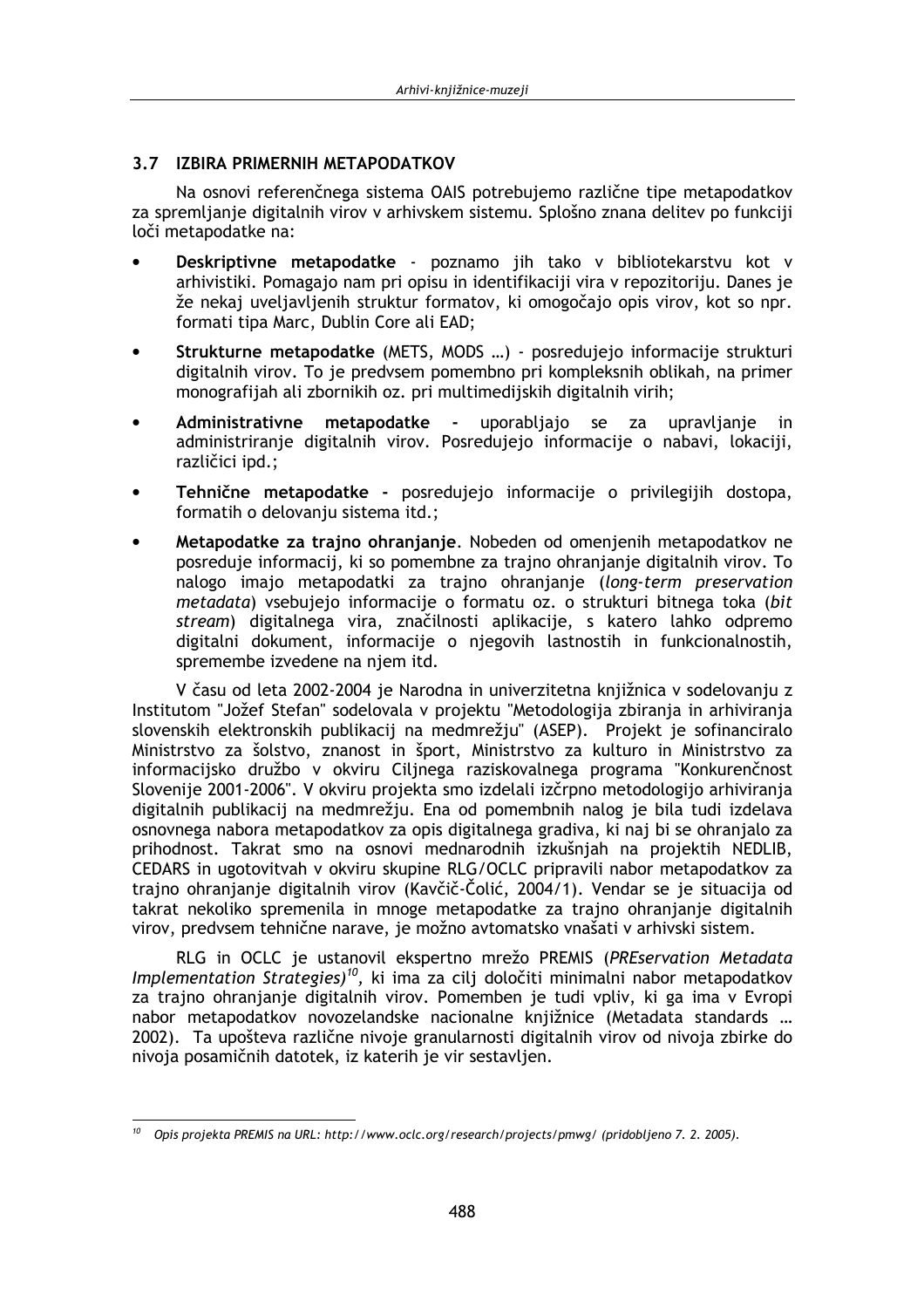## 3.7 IZBIRA PRIMERNIH METAPODATKOV

Na osnovi referenčnega sistema OAIS potrebujemo različne tipe metapodatkov za spremljanje digitalnih virov v arhivskem sistemu. Splošno znana delitev po funkciji loči metapodatke na:

- Deskriptivne metapodatke poznamo jih tako v bibliotekarstvu kot v arhivistiki. Pomagajo nam pri opisu in identifikaciji vira v repozitoriju. Danes je že nekaj uveljavljenih struktur formatov, ki omogočajo opis virov, kot so npr. formati tipa Marc, Dublin Core ali EAD;
- Strukturne metapodatke (METS, MODS ...) posredujejo informacije strukturi digitalnih virov. To je predvsem pomembno pri kompleksnih oblikah, na primer monografijah ali zbornikih oz. pri multimedijskih digitalnih virih;
- Administrativne metapodatke uporabljajo se za upravljanje in. administriranje digitalnih virov. Posredujejo informacije o nabavi, lokaciji, različici ipd.;
- Tehnične metapodatke posredujejo informacije o privilegijih dostopa, formatih o delovanju sistema itd.;
- Metapodatke za trajno ohranjanje. Nobeden od omenjenih metapodatkov ne posreduje informacij, ki so pomembne za trajno ohranjanje digitalnih virov. To nalogo imajo metapodatki za trajno ohranjanje (long-term preservation metadata) vsebujejo informacije o formatu oz. o strukturi bitnega toka (bit stream) digitalnega vira, značilnosti aplikacije, s katero lahko odpremo digitalni dokument, informacije o njegovih lastnostih in funkcionalnostih, spremembe izvedene na njem itd.

V času od leta 2002-2004 je Narodna in univerzitetna knjižnica v sodelovanju z Institutom "Jožef Stefan" sodelovala v projektu "Metodologija zbiranja in arhiviranja slovenskih elektronskih publikacij na medmrežju" (ASEP). Projekt je sofinanciralo Ministrstvo za šolstvo, znanost in šport, Ministrstvo za kulturo in Ministrstvo za informacijsko družbo v okviru Ciljnega raziskovalnega programa "Konkurenčnost Slovenije 2001-2006". V okviru projekta smo izdelali izčrpno metodologijo arhiviranja digitalnih publikacij na medmrežju. Ena od pomembnih nalog je bila tudi izdelava osnovnega nabora metapodatkov za opis digitalnega gradiva, ki naj bi se ohranjalo za prihodnost. Takrat smo na osnovi mednarodnih izkušniah na projektih NEDLIB. CEDARS in ugotovitvah v okviru skupine RLG/OCLC pripravili nabor metapodatkov za traino ohranianie digitalnih virov (Kavčič-Čolić, 2004/1). Vendar se je situacija od takrat nekoliko spremenila in mnoge metapodatke za trajno ohranjanje digitalnih virov, predvsem tehnične narave, je možno avtomatsko vnašati v arhivski sistem.

RLG in OCLC je ustanovil ekspertno mrežo PREMIS (PREservation Metadata Implementation Strategies)<sup>10</sup>, ki ima za cilj določiti minimalni nabor metapodatkov za trajno ohranjanje digitalnih virov. Pomemben je tudi vpliv, ki ga ima v Evropi nabor metapodatkov novozelandske nacionalne knjižnice (Metadata standards ... 2002). Ta upošteva različne nivoje granularnosti digitalnih virov od nivoja zbirke do nivoja posamičnih datotek, iz katerih je vir sestavljen.

 $10$  Opis projekta PREMIS na URL: http://www.oclc.org/research/projects/pmwg/ (pridobljeno 7. 2. 2005).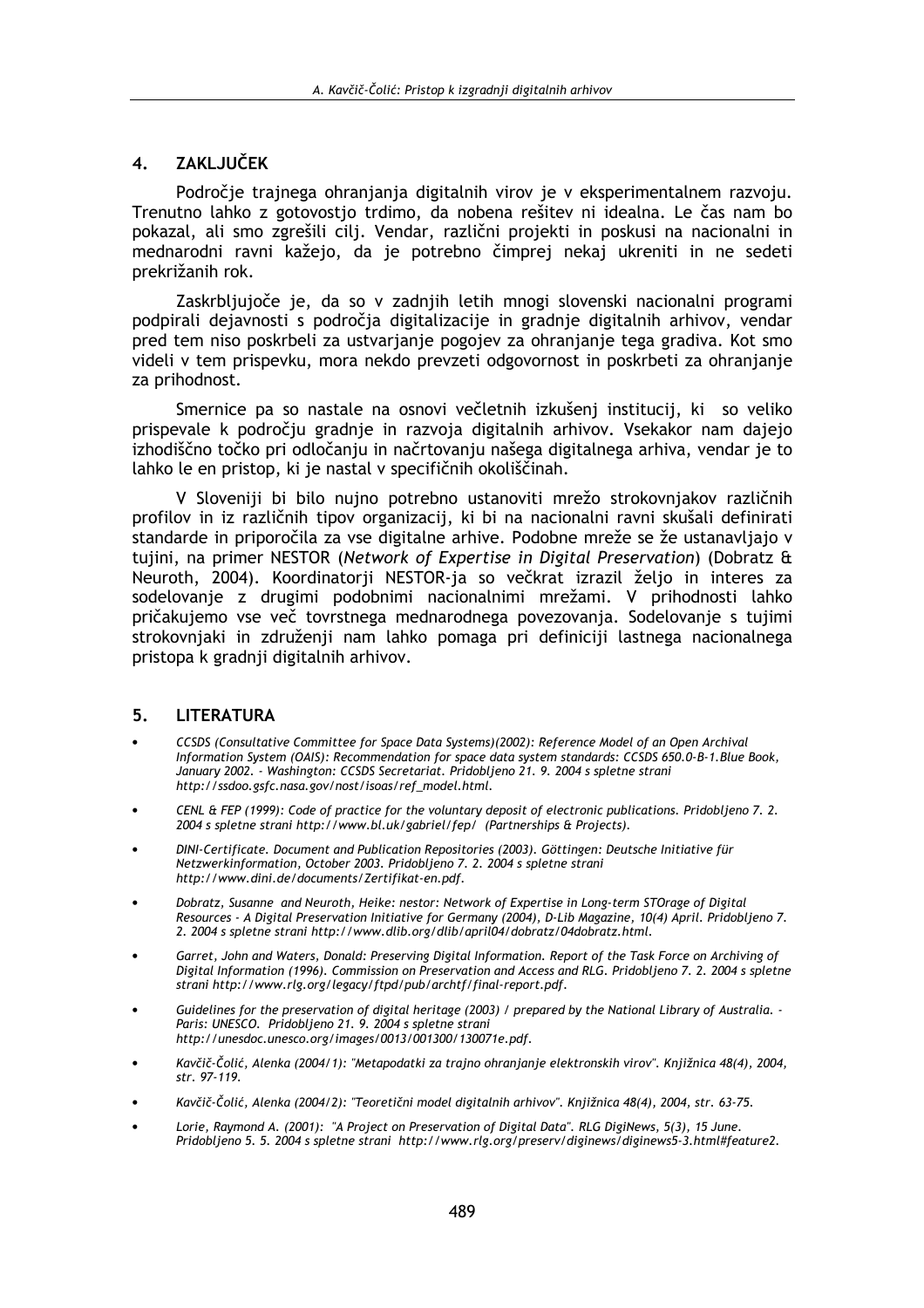#### ZAKLJUČEK  $\overline{\mathbf{4}}$ .

Področje trajnega ohranjanja digitalnih virov je v eksperimentalnem razvoju. Trenutno lahko z gotovostjo trdimo, da nobena rešitev ni idealna. Le čas nam bo pokazal, ali smo zgrešili cili. Vendar, različni projekti in poskusi na nacionalni in mednarodni ravni kažejo, da je potrebno čimprej nekaj ukreniti in ne sedeti prekrižanih rok.

Zaskrbljujoče je, da so v zadnjih letih mnogi slovenski nacionalni programi podpirali dejavnosti s področja digitalizacije in gradnje digitalnih arhivov, vendar pred tem niso poskrbeli za ustvarjanje pogojev za ohranjanje tega gradiva. Kot smo videli v tem prispevku, mora nekdo prevzeti odgovornost in poskrbeti za ohranjanje za prihodnost.

Smernice pa so nastale na osnovi večletnih izkušenj institucij, ki so veliko prispevale k področju gradnje in razvoja digitalnih arhivov. Vsekakor nam dajejo izhodiščno točko pri odločanju in načrtovanju našega digitalnega arhiva, vendar je to lahko le en pristop, ki je nastal v specifičnih okoliščinah.

V Sloveniji bi bilo nujno potrebno ustanoviti mrežo strokovnjakov različnih profilov in iz različnih tipov organizacij, ki bi na nacionalni ravni skušali definirati standarde in priporočila za vse digitalne arhive. Podobne mreže se že ustanavljajo v tujini, na primer NESTOR (Network of Expertise in Digital Preservation) (Dobratz & Neuroth, 2004). Koordinatorji NESTOR-ja so večkrat izrazil željo in interes za sodelovanje z drugimi podobnimi nacionalnimi mrežami. V prihodnosti lahko pričakujemo vse več tovrstnega mednarodnega povezovanja. Sodelovanje s tujimi strokovnjaki in združenji nam lahko pomaga pri definiciji lastnega nacionalnega pristopa k gradnji digitalnih arhivov.

#### **LITERATURA** 5.

- CCSDS (Consultative Committee for Space Data Systems)(2002): Reference Model of an Open Archival Information System (OAIS): Recommendation for space data system standards: CCSDS 650.0-B-1.Blue Book, January 2002. - Washington: CCSDS Secretariat. Pridobljeno 21. 9. 2004 s spletne strani http://ssdoo.gsfc.nasa.gov/nost/isoas/ref\_model.html.
- CENL & FEP (1999): Code of practice for the voluntary deposit of electronic publications. Pridobljeno 7. 2. 2004 s spletne strani http://www.bl.uk/gabriel/fep/ (Partnerships & Projects).
- DINI-Certificate. Document and Publication Repositories (2003). Göttingen: Deutsche Initiative für Netzwerkinformation, October 2003. Pridobljeno 7. 2. 2004 s spletne strani http://www.dini.de/documents/Zertifikat-en.pdf.
- Dobratz, Susanne and Neuroth, Heike: nestor: Network of Expertise in Long-term STOrage of Digital Resources - A Digital Preservation Initiative for Germany (2004), D-Lib Magazine, 10(4) April. Pridobljeno 7. 2. 2004 s spletne strani http://www.dlib.org/dlib/april04/dobratz/04dobratz.html.
- Garret, John and Waters, Donald: Preserving Digital Information. Report of the Task Force on Archiving of Digital Information (1996). Commission on Preservation and Access and RLG. Pridobljeno 7. 2. 2004 s spletne strani http://www.rlg.org/legacy/ftpd/pub/archtf/final-report.pdf.
- Guidelines for the preservation of digital heritage (2003) / prepared by the National Library of Australia. -Paris: UNESCO. Pridobljeno 21. 9. 2004 s spletne strani http://unesdoc.unesco.org/images/0013/001300/130071e.pdf.
- Kavčič-Čolić, Alenka (2004/1): "Metapodatki za trajno ohranjanje elektronskih virov". Knjižnica 48(4), 2004, str. 97-119.
- Kavčič-Čolić, Alenka (2004/2): "Teoretični model digitalnih arhivov". Knjižnica 48(4), 2004, str. 63-75.
- Lorie, Raymond A. (2001): "A Project on Preservation of Digital Data". RLG DigiNews, 5(3), 15 June. Pridobljeno 5. 5. 2004 s spletne strani http://www.rlg.org/preserv/diginews/diginews5-3.html#feature2.